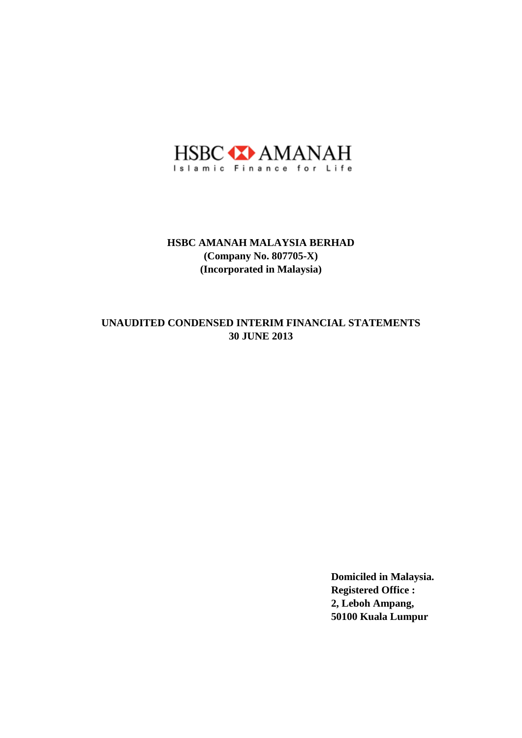

# **30 JUNE 2013 UNAUDITED CONDENSED INTERIM FINANCIAL STATEMENTS**

**Domiciled in Malaysia. Registered Office : 2, Leboh Ampang, 50100 Kuala Lumpur**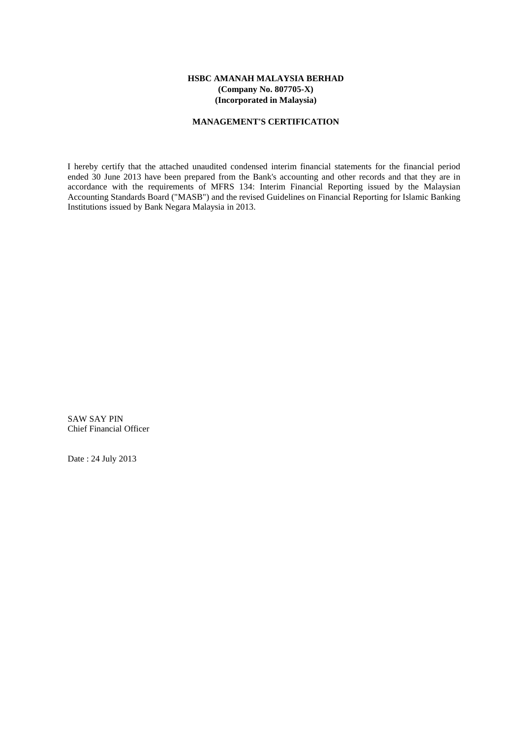### **MANAGEMENT'S CERTIFICATION**

I hereby certify that the attached unaudited condensed interim financial statements for the financial period ended 30 June 2013 have been prepared from the Bank's accounting and other records and that they are in accordance with the requirements of MFRS 134: Interim Financial Reporting issued by the Malaysian Accounting Standards Board ("MASB") and the revised Guidelines on Financial Reporting for Islamic Banking Institutions issued by Bank Negara Malaysia in 2013.

SAW SAY PIN Chief Financial Officer

Date : 24 July 2013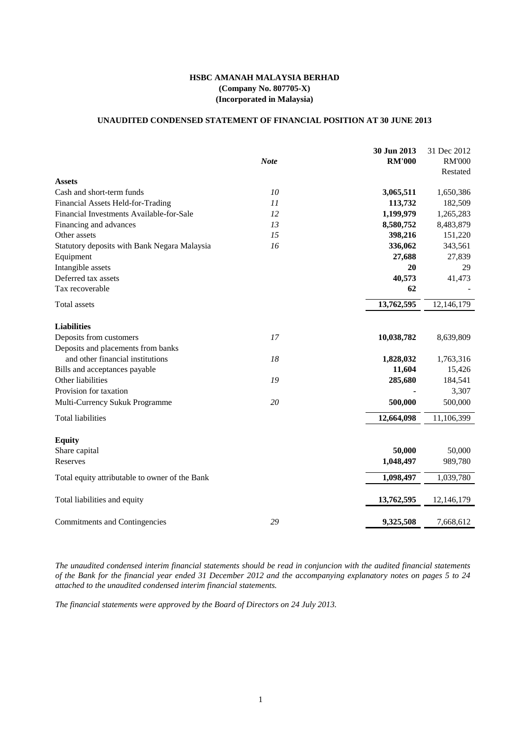# **UNAUDITED CONDENSED STATEMENT OF FINANCIAL POSITION AT 30 JUNE 2013**

|                                                |             | 30 Jun 2013   | 31 Dec 2012   |
|------------------------------------------------|-------------|---------------|---------------|
|                                                | <b>Note</b> | <b>RM'000</b> | <b>RM'000</b> |
|                                                |             |               | Restated      |
| <b>Assets</b>                                  |             |               |               |
| Cash and short-term funds                      | 10          | 3,065,511     | 1,650,386     |
| <b>Financial Assets Held-for-Trading</b>       | 11          | 113,732       | 182,509       |
| Financial Investments Available-for-Sale       | 12          | 1,199,979     | 1,265,283     |
| Financing and advances                         | 13          | 8,580,752     | 8,483,879     |
| Other assets                                   | 15          | 398,216       | 151,220       |
| Statutory deposits with Bank Negara Malaysia   | 16          | 336,062       | 343,561       |
| Equipment                                      |             | 27,688        | 27,839        |
| Intangible assets                              |             | 20            | 29            |
| Deferred tax assets                            |             | 40,573        | 41,473        |
| Tax recoverable                                |             | 62            |               |
| Total assets                                   |             | 13,762,595    | 12,146,179    |
|                                                |             |               |               |
| <b>Liabilities</b>                             |             |               |               |
| Deposits from customers                        | 17          | 10,038,782    | 8,639,809     |
| Deposits and placements from banks             |             |               |               |
| and other financial institutions               | 18          | 1,828,032     | 1,763,316     |
| Bills and acceptances payable                  |             | 11,604        | 15,426        |
| Other liabilities                              | 19          | 285,680       | 184,541       |
| Provision for taxation                         |             |               | 3,307         |
| Multi-Currency Sukuk Programme                 | 20          | 500,000       | 500,000       |
| <b>Total liabilities</b>                       |             | 12,664,098    | 11,106,399    |
| <b>Equity</b>                                  |             |               |               |
| Share capital                                  |             | 50,000        | 50,000        |
| Reserves                                       |             | 1,048,497     | 989,780       |
|                                                |             |               |               |
| Total equity attributable to owner of the Bank |             | 1,098,497     | 1,039,780     |
| Total liabilities and equity                   |             | 13,762,595    | 12,146,179    |
| <b>Commitments and Contingencies</b>           | 29          | 9,325,508     | 7,668,612     |

*The unaudited condensed interim financial statements should be read in conjuncion with the audited financial statements of the Bank for the financial year ended 31 December 2012 and the accompanying explanatory notes on pages 5 to 24 attached to the unaudited condensed interim financial statements.*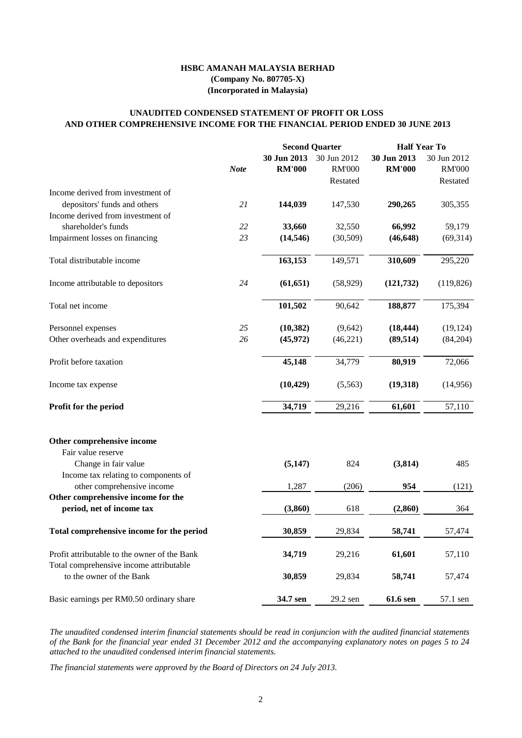2

|                                                              |             | <b>Second Quarter</b> |               | <b>Half Year To</b> |               |
|--------------------------------------------------------------|-------------|-----------------------|---------------|---------------------|---------------|
|                                                              |             | 30 Jun 2013           | 30 Jun 2012   | 30 Jun 2013         | 30 Jun 2012   |
|                                                              | <b>Note</b> | <b>RM'000</b>         | <b>RM'000</b> | <b>RM'000</b>       | <b>RM'000</b> |
|                                                              |             |                       | Restated      |                     | Restated      |
| Income derived from investment of                            |             |                       |               |                     |               |
| depositors' funds and others                                 | 21          | 144,039               | 147,530       | 290,265             | 305,355       |
| Income derived from investment of                            |             |                       |               |                     |               |
| shareholder's funds                                          | 22          | 33,660                | 32,550        | 66,992              | 59,179        |
| Impairment losses on financing                               | 23          | (14, 546)             | (30,509)      | (46, 648)           | (69, 314)     |
| Total distributable income                                   |             | 163,153               | 149,571       | 310,609             | 295,220       |
| Income attributable to depositors                            | 24          | (61, 651)             | (58, 929)     | (121, 732)          | (119, 826)    |
| Total net income                                             |             | 101,502               | 90,642        | 188,877             | 175,394       |
| Personnel expenses                                           | 25          | (10, 382)             | (9,642)       | (18, 444)           | (19, 124)     |
| Other overheads and expenditures                             | 26          | (45, 972)             | (46,221)      | (89, 514)           | (84,204)      |
| Profit before taxation                                       |             | 45,148                | 34,779        | 80,919              | 72,066        |
| Income tax expense                                           |             | (10, 429)             | (5,563)       | (19,318)            | (14,956)      |
| Profit for the period                                        |             | 34,719                | 29,216        | 61,601              | 57,110        |
| Other comprehensive income<br>Fair value reserve             |             |                       |               |                     |               |
| Change in fair value<br>Income tax relating to components of |             | (5,147)               | 824           | (3,814)             | 485           |
| other comprehensive income                                   |             | 1,287                 | (206)         | 954                 | (121)         |
| Other comprehensive income for the                           |             |                       |               |                     |               |
| period, net of income tax                                    |             | (3,860)               | 618           | (2,860)             | 364           |
| Total comprehensive income for the period                    |             | 30,859                | 29,834        | 58,741              | 57,474        |

| Basic earnings per RM0.50 ordinary share     | 34.7 sen | 29.2 sen | <b>61.6 sen</b> | 57.1 sen |
|----------------------------------------------|----------|----------|-----------------|----------|
| to the owner of the Bank                     | 30,859   | 29.834   | 58,741          | 57.474   |
| Total comprehensive income attributable      |          |          |                 |          |
| Profit attributable to the owner of the Bank | 34,719   | 29.216   | 61.601          | 57,110   |

# **AND OTHER COMPREHENSIVE INCOME FOR THE FINANCIAL PERIOD ENDED 30 JUNE 2013 UNAUDITED CONDENSED STATEMENT OF PROFIT OR LOSS**

# **HSBC AMANAH MALAYSIA BERHAD (Company No. 807705-X) (Incorporated in Malaysia)**

*The unaudited condensed interim financial statements should be read in conjuncion with the audited financial statements of the Bank for the financial year ended 31 December 2012 and the accompanying explanatory notes on pages 5 to 24 attached to the unaudited condensed interim financial statements.*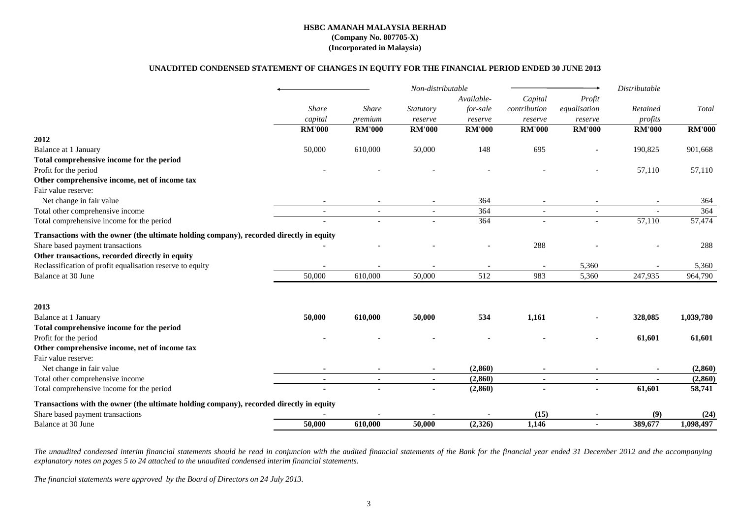# **UNAUDITED CONDENSED STATEMENT OF CHANGES IN EQUITY FOR THE FINANCIAL PERIOD ENDED 30 JUNE 2013**

|                                                                                         |               |               | Non-distributable |               |               |                          | Distributable            |               |
|-----------------------------------------------------------------------------------------|---------------|---------------|-------------------|---------------|---------------|--------------------------|--------------------------|---------------|
|                                                                                         |               |               |                   | Available-    | Capital       | Profit                   |                          |               |
|                                                                                         | <b>Share</b>  | <b>Share</b>  | Statutory         | for-sale      | contribution  | equalisation             | Retained                 | Total         |
|                                                                                         | capital       | premium       | reserve           | reserve       | reserve       | reserve                  | profits                  |               |
|                                                                                         | <b>RM'000</b> | <b>RM'000</b> | <b>RM'000</b>     | <b>RM'000</b> | <b>RM'000</b> | <b>RM'000</b>            | <b>RM'000</b>            | <b>RM'000</b> |
| 2012                                                                                    |               |               |                   |               |               |                          |                          |               |
| <b>Balance at 1 January</b>                                                             | 50,000        | 610,000       | 50,000            | 148           | 695           |                          | 190,825                  | 901,668       |
| Total comprehensive income for the period                                               |               |               |                   |               |               |                          |                          |               |
| Profit for the period                                                                   |               |               |                   |               |               |                          | 57,110                   | 57,110        |
| Other comprehensive income, net of income tax                                           |               |               |                   |               |               |                          |                          |               |
| Fair value reserve:                                                                     |               |               |                   |               |               |                          |                          |               |
| Net change in fair value                                                                |               |               |                   | 364           |               |                          | $\overline{\phantom{a}}$ | 364           |
| Total other comprehensive income                                                        |               |               |                   | 364           | $\sim$        | $\overline{\phantom{a}}$ |                          | 364           |
| Total comprehensive income for the period                                               |               |               |                   | 364           |               |                          | 57,110                   | 57,474        |
| Transactions with the owner (the ultimate holding company), recorded directly in equity |               |               |                   |               |               |                          |                          |               |
| Share based payment transactions                                                        |               |               |                   |               | 288           |                          |                          | 288           |
| Other transactions, recorded directly in equity                                         |               |               |                   |               |               |                          |                          |               |
| Reclassification of profit equalisation reserve to equity                               |               |               |                   |               |               | 5,360                    |                          | 5,360         |
| Balance at 30 June                                                                      | 50,000        | 610,000       | 50,000            | 512           | 983           | 5,360                    | 247,935                  | 964,790       |
| 2013                                                                                    |               |               |                   |               |               |                          |                          |               |
| <b>Balance at 1 January</b>                                                             | 50,000        | 610,000       | 50,000            | 534           | 1,161         |                          | 328,085                  | 1,039,780     |
| Total comprehensive income for the period                                               |               |               |                   |               |               |                          |                          |               |
| Profit for the period                                                                   |               |               |                   |               |               |                          | 61,601                   | 61,601        |
| Other comprehensive income, net of income tax                                           |               |               |                   |               |               |                          |                          |               |
| Fair value reserve:                                                                     |               |               |                   |               |               |                          |                          |               |
| Net change in fair value                                                                |               |               |                   | (2, 860)      |               |                          |                          | (2,860)       |
| Total other comprehensive income                                                        | $\sim$        | $\sim$        | $\blacksquare$    | (2, 860)      | $\sim$        | $\blacksquare$           | $\blacksquare$           | (2, 860)      |
| Total comprehensive income for the period                                               |               |               |                   | (2, 860)      |               |                          | 61,601                   | 58,741        |
| Transactions with the owner (the ultimate holding company), recorded directly in equity |               |               |                   |               |               |                          |                          |               |
| Share based payment transactions                                                        |               |               |                   |               | (15)          |                          | (9)                      | (24)          |
| Balance at 30 June                                                                      | 50,000        | 610,000       | 50,000            | (2,326)       | 1,146         |                          | 389,677                  | 1,098,497     |

The unaudited condensed interim financial statements should be read in conjuncion with the audited financial statements of the Bank for the financial year ended 31 December 2012 and the accompanying *explanatory notes on pages 5 to 24 attached to the unaudited condensed interim financial statements.*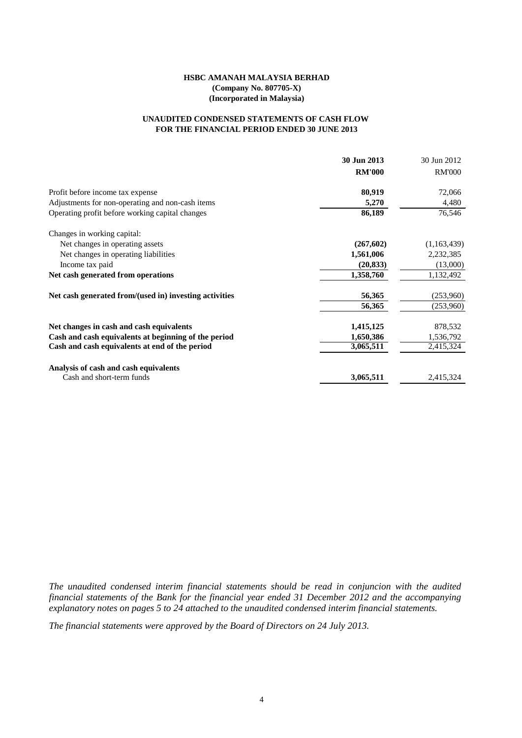# **FOR THE FINANCIAL PERIOD ENDED 30 JUNE 2013 UNAUDITED CONDENSED STATEMENTS OF CASH FLOW**

|                                                        | 30 Jun 2013   | 30 Jun 2012   |
|--------------------------------------------------------|---------------|---------------|
|                                                        | <b>RM'000</b> | <b>RM'000</b> |
| Profit before income tax expense                       | 80,919        | 72,066        |
| Adjustments for non-operating and non-cash items       | 5,270         | 4,480         |
| Operating profit before working capital changes        | 86,189        | 76,546        |
| Changes in working capital:                            |               |               |
| Net changes in operating assets                        | (267, 602)    | (1,163,439)   |
| Net changes in operating liabilities                   | 1,561,006     | 2,232,385     |
| Income tax paid                                        | (20, 833)     | (13,000)      |
| Net cash generated from operations                     | 1,358,760     | 1,132,492     |
| Net cash generated from/(used in) investing activities | 56,365        | (253,960)     |
|                                                        | 56,365        | (253,960)     |
| Net changes in cash and cash equivalents               | 1,415,125     | 878,532       |
| Cash and cash equivalents at beginning of the period   | 1,650,386     | 1,536,792     |
| Cash and cash equivalents at end of the period         | 3,065,511     | 2,415,324     |
| Analysis of cash and cash equivalents                  |               |               |
| Cash and short-term funds                              | 3,065,511     | 2,415,324     |

*The unaudited condensed interim financial statements should be read in conjuncion with the audited financial statements of the Bank for the financial year ended 31 December 2012 and the accompanying explanatory notes on pages 5 to 24 attached to the unaudited condensed interim financial statements.*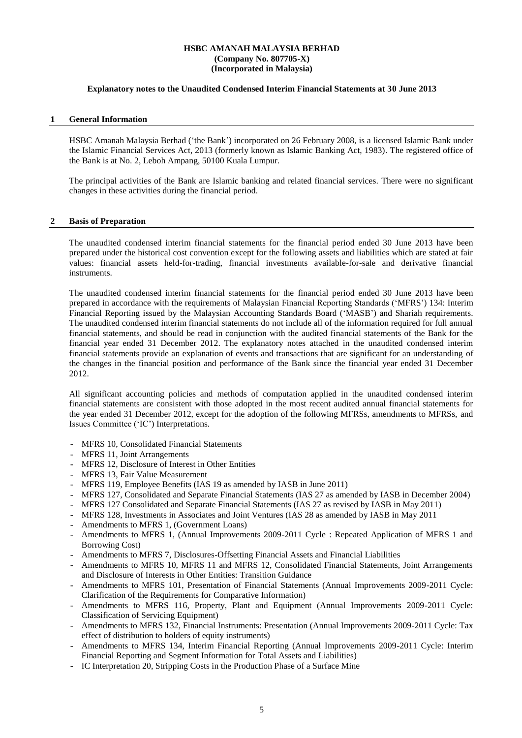#### **Explanatory notes to the Unaudited Condensed Interim Financial Statements at 30 June 2013**

#### **1 General Information**

HSBC Amanah Malaysia Berhad ('the Bank') incorporated on 26 February 2008, is a licensed Islamic Bank under the Islamic Financial Services Act, 2013 (formerly known as Islamic Banking Act, 1983). The registered office of the Bank is at No. 2, Leboh Ampang, 50100 Kuala Lumpur.

The principal activities of the Bank are Islamic banking and related financial services. There were no significant changes in these activities during the financial period.

#### **2 Basis of Preparation**

The unaudited condensed interim financial statements for the financial period ended 30 June 2013 have been prepared under the historical cost convention except for the following assets and liabilities which are stated at fair values: financial assets held-for-trading, financial investments available-for-sale and derivative financial instruments.

The unaudited condensed interim financial statements for the financial period ended 30 June 2013 have been prepared in accordance with the requirements of Malaysian Financial Reporting Standards ('MFRS') 134: Interim Financial Reporting issued by the Malaysian Accounting Standards Board ('MASB') and Shariah requirements. The unaudited condensed interim financial statements do not include all of the information required for full annual financial statements, and should be read in conjunction with the audited financial statements of the Bank for the financial year ended 31 December 2012. The explanatory notes attached in the unaudited condensed interim financial statements provide an explanation of events and transactions that are significant for an understanding of the changes in the financial position and performance of the Bank since the financial year ended 31 December 2012.

All significant accounting policies and methods of computation applied in the unaudited condensed interim financial statements are consistent with those adopted in the most recent audited annual financial statements for the year ended 31 December 2012, except for the adoption of the following MFRSs, amendments to MFRSs, and Issues Committee ('IC') Interpretations.

- MFRS 10, Consolidated Financial Statements
- MFRS 11, Joint Arrangements
- MFRS 12, Disclosure of Interest in Other Entities
- MFRS 13, Fair Value Measurement
- MFRS 119, Employee Benefits (IAS 19 as amended by IASB in June 2011)
- MFRS 127, Consolidated and Separate Financial Statements (IAS 27 as amended by IASB in December 2004)
- MFRS 127 Consolidated and Separate Financial Statements (IAS 27 as revised by IASB in May 2011)
- MFRS 128, Investments in Associates and Joint Ventures (IAS 28 as amended by IASB in May 2011
- Amendments to MFRS 1, (Government Loans)
- Amendments to MFRS 1, (Annual Improvements 2009-2011 Cycle : Repeated Application of MFRS 1 and Borrowing Cost)
- Amendments to MFRS 7, Disclosures-Offsetting Financial Assets and Financial Liabilities
- Amendments to MFRS 10, MFRS 11 and MFRS 12, Consolidated Financial Statements, Joint Arrangements and Disclosure of Interests in Other Entities: Transition Guidance
- Amendments to MFRS 101, Presentation of Financial Statements (Annual Improvements 2009-2011 Cycle: Clarification of the Requirements for Comparative Information)
- Amendments to MFRS 116, Property, Plant and Equipment (Annual Improvements 2009-2011 Cycle: Classification of Servicing Equipment)
- Amendments to MFRS 132, Financial Instruments: Presentation (Annual Improvements 2009-2011 Cycle: Tax effect of distribution to holders of equity instruments)
- Amendments to MFRS 134, Interim Financial Reporting (Annual Improvements 2009-2011 Cycle: Interim Financial Reporting and Segment Information for Total Assets and Liabilities)
- IC Interpretation 20, Stripping Costs in the Production Phase of a Surface Mine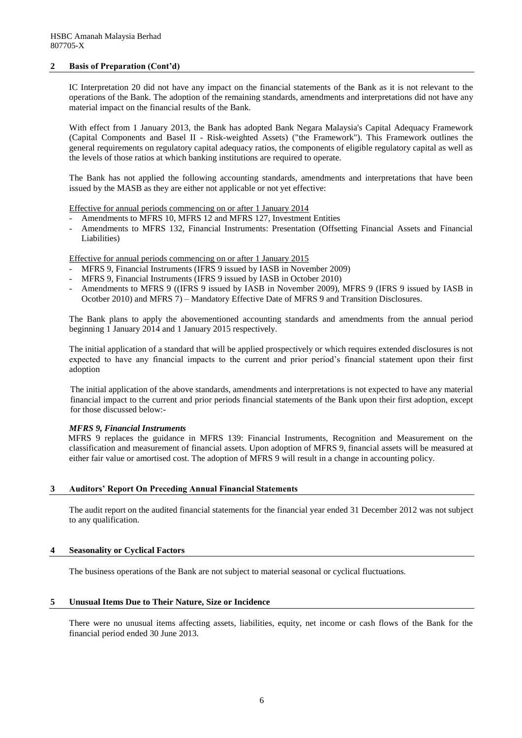#### **2 Basis of Preparation (Cont'd)**

IC Interpretation 20 did not have any impact on the financial statements of the Bank as it is not relevant to the operations of the Bank. The adoption of the remaining standards, amendments and interpretations did not have any material impact on the financial results of the Bank.

With effect from 1 January 2013, the Bank has adopted Bank Negara Malaysia's Capital Adequacy Framework (Capital Components and Basel II - Risk-weighted Assets) ("the Framework"). This Framework outlines the general requirements on regulatory capital adequacy ratios, the components of eligible regulatory capital as well as the levels of those ratios at which banking institutions are required to operate.

The Bank has not applied the following accounting standards, amendments and interpretations that have been issued by the MASB as they are either not applicable or not yet effective:

Effective for annual periods commencing on or after 1 January 2014

- Amendments to MFRS 10, MFRS 12 and MFRS 127, Investment Entities
- Amendments to MFRS 132, Financial Instruments: Presentation (Offsetting Financial Assets and Financial Liabilities)

Effective for annual periods commencing on or after 1 January 2015

- MFRS 9, Financial Instruments (IFRS 9 issued by IASB in November 2009)
- MFRS 9, Financial Instruments (IFRS 9 issued by IASB in October 2010)
- Amendments to MFRS 9 ((IFRS 9 issued by IASB in November 2009), MFRS 9 (IFRS 9 issued by IASB in Ocotber 2010) and MFRS 7) – Mandatory Effective Date of MFRS 9 and Transition Disclosures.

The Bank plans to apply the abovementioned accounting standards and amendments from the annual period beginning 1 January 2014 and 1 January 2015 respectively.

The initial application of a standard that will be applied prospectively or which requires extended disclosures is not expected to have any financial impacts to the current and prior period's financial statement upon their first adoption

The initial application of the above standards, amendments and interpretations is not expected to have any material financial impact to the current and prior periods financial statements of the Bank upon their first adoption, except for those discussed below:-

#### *MFRS 9, Financial Instruments*

MFRS 9 replaces the guidance in MFRS 139: Financial Instruments, Recognition and Measurement on the classification and measurement of financial assets. Upon adoption of MFRS 9, financial assets will be measured at either fair value or amortised cost. The adoption of MFRS 9 will result in a change in accounting policy.

#### **3 Auditors' Report On Preceding Annual Financial Statements**

The audit report on the audited financial statements for the financial year ended 31 December 2012 was not subject to any qualification.

#### **4 Seasonality or Cyclical Factors**

The business operations of the Bank are not subject to material seasonal or cyclical fluctuations.

#### **5 Unusual Items Due to Their Nature, Size or Incidence**

There were no unusual items affecting assets, liabilities, equity, net income or cash flows of the Bank for the financial period ended 30 June 2013.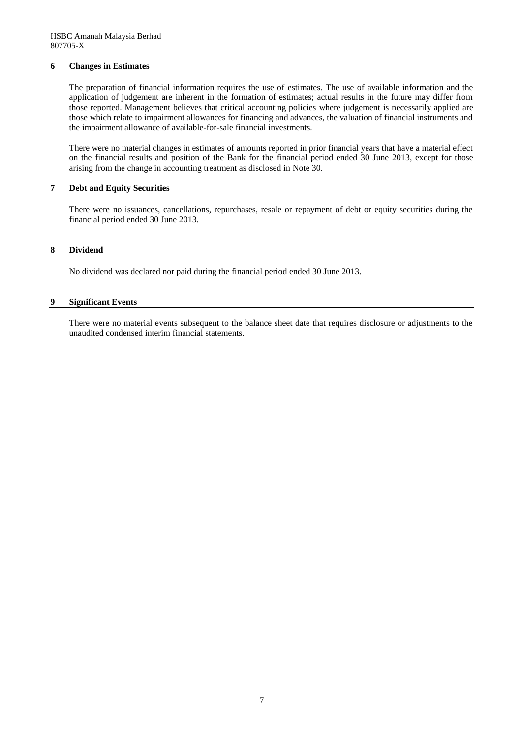#### **6 Changes in Estimates**

The preparation of financial information requires the use of estimates. The use of available information and the application of judgement are inherent in the formation of estimates; actual results in the future may differ from those reported. Management believes that critical accounting policies where judgement is necessarily applied are those which relate to impairment allowances for financing and advances, the valuation of financial instruments and the impairment allowance of available-for-sale financial investments.

There were no material changes in estimates of amounts reported in prior financial years that have a material effect on the financial results and position of the Bank for the financial period ended 30 June 2013, except for those arising from the change in accounting treatment as disclosed in Note 30.

#### **7 Debt and Equity Securities**

There were no issuances, cancellations, repurchases, resale or repayment of debt or equity securities during the financial period ended 30 June 2013.

#### **8 Dividend**

No dividend was declared nor paid during the financial period ended 30 June 2013.

#### **9 Significant Events**

There were no material events subsequent to the balance sheet date that requires disclosure or adjustments to the unaudited condensed interim financial statements.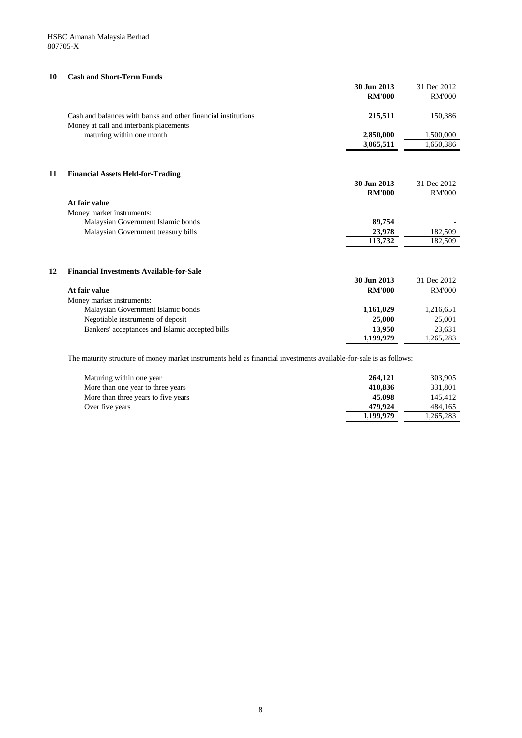8

# **10 Cash and Short-Term Funds**

|    |                                                               | 30 Jun 2013   | 31 Dec 2012   |
|----|---------------------------------------------------------------|---------------|---------------|
|    |                                                               | <b>RM'000</b> | <b>RM'000</b> |
|    | Cash and balances with banks and other financial institutions | 215,511       | 150,386       |
|    |                                                               |               |               |
|    | Money at call and interbank placements                        |               |               |
|    | maturing within one month                                     | 2,850,000     | 1,500,000     |
|    |                                                               | 3,065,511     | 1,650,386     |
|    |                                                               |               |               |
| 11 | <b>Financial Assets Held-for-Trading</b>                      |               |               |
|    |                                                               | 30 Jun 2013   | 31 Dec 2012   |
|    |                                                               | <b>RM'000</b> | <b>RM'000</b> |
|    | At fair value                                                 |               |               |
|    | Money market instruments:                                     |               |               |
|    | Malaysian Government Islamic bonds                            | 89,754        |               |
|    | Malaysian Government treasury bills                           | 23,978        | 182,509       |
|    |                                                               | 113,732       | 182,509       |
|    |                                                               |               |               |
| 12 | <b>Financial Investments Available-for-Sale</b>               |               |               |
|    |                                                               | 30 Jun 2013   | 31 Dec 2012   |
|    | At fair value                                                 | <b>RM'000</b> | <b>RM'000</b> |
|    | Money market instruments:                                     |               |               |
|    | Malaysian Government Islamic bonds                            | 1,161,029     | 1,216,651     |
|    | Negotiable instruments of deposit                             | 25,000        | 25,001        |
|    | Bankers' acceptances and Islamic accepted bills               | 13,950        | 23,631        |
|    |                                                               | 1,199,979     | 1,265,283     |

The maturity structure of money market instruments held as financial investments available-for-sale is as follows:

| Maturing within one year            | 264,121   | 303,905   |
|-------------------------------------|-----------|-----------|
| More than one year to three years   | 410,836   | 331,801   |
| More than three years to five years | 45,098    | 145,412   |
| Over five years                     | 479.924   | 484,165   |
|                                     | 1,199,979 | 1,265,283 |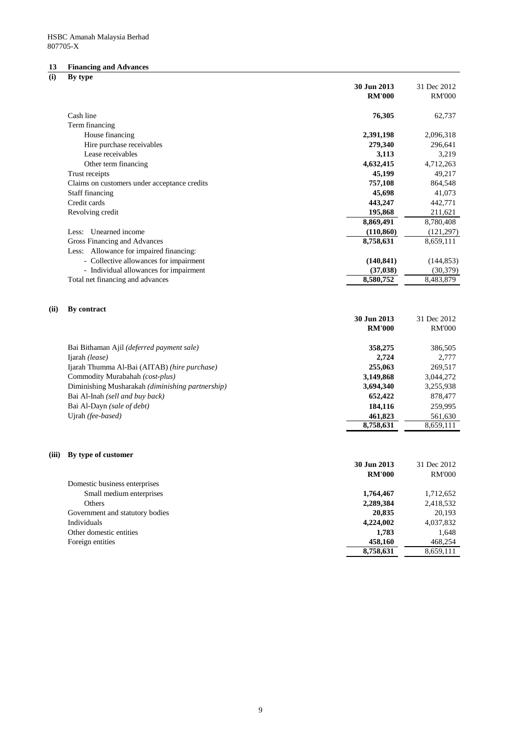# 9

# **13 Financing and Advances**

**(i) By type**

|       | $\mathbf{v}$                                     | 30 Jun 2013<br><b>RM'000</b> | 31 Dec 2012<br><b>RM'000</b> |
|-------|--------------------------------------------------|------------------------------|------------------------------|
|       |                                                  |                              |                              |
|       | Cash line                                        | 76,305                       | 62,737                       |
|       | Term financing                                   |                              |                              |
|       | House financing                                  | 2,391,198                    | 2,096,318                    |
|       | Hire purchase receivables                        | 279,340                      | 296,641                      |
|       | Lease receivables                                | 3,113                        | 3,219                        |
|       | Other term financing                             | 4,632,415                    | 4,712,263                    |
|       | Trust receipts                                   | 45,199                       | 49,217                       |
|       | Claims on customers under acceptance credits     | 757,108                      | 864,548                      |
|       | <b>Staff financing</b>                           | 45,698                       | 41,073                       |
|       | Credit cards                                     | 443,247                      | 442,771                      |
|       | Revolving credit                                 | 195,868                      | 211,621                      |
|       |                                                  | 8,869,491                    | 8,780,408                    |
|       | Less: Unearned income                            | (110, 860)                   | (121, 297)                   |
|       | Gross Financing and Advances                     | 8,758,631                    | 8,659,111                    |
|       | Less: Allowance for impaired financing:          |                              |                              |
|       | - Collective allowances for impairment           | (140, 841)                   | (144, 853)                   |
|       | - Individual allowances for impairment           | (37, 038)                    | (30, 379)                    |
|       | Total net financing and advances                 | 8,580,752                    | 8,483,879                    |
| (ii)  | By contract                                      | 30 Jun 2013<br><b>RM'000</b> | 31 Dec 2012<br><b>RM'000</b> |
|       | Bai Bithaman Ajil (deferred payment sale)        | 358,275                      | 386,505                      |
|       | Ijarah (lease)                                   | 2,724                        | 2,777                        |
|       | Ijarah Thumma Al-Bai (AITAB) (hire purchase)     | 255,063                      | 269,517                      |
|       | Commodity Murabahah (cost-plus)                  | 3,149,868                    | 3,044,272                    |
|       | Diminishing Musharakah (diminishing partnership) | 3,694,340                    | 3,255,938                    |
|       | Bai Al-Inah (sell and buy back)                  | 652,422                      | 878,477                      |
|       | Bai Al-Dayn (sale of debt)                       | 184,116                      | 259,995                      |
|       | Ujrah (fee-based)                                | 461,823                      | 561,630                      |
|       |                                                  | 8,758,631                    | 8,659,111                    |
| (iii) | By type of customer                              |                              |                              |
|       |                                                  | 30 Jun 2013                  | 31 Dec 2012                  |
|       |                                                  | <b>RM'000</b>                | <b>RM'000</b>                |
|       | Domestic business enterprises                    |                              |                              |
|       | Small medium enterprises                         | 1,764,467                    | 1,712,652                    |
|       | Others                                           | 2,289,384                    | 2,418,532                    |
|       | Government and statutory bodies                  | 20,835                       | 20,193                       |
|       | Individuals                                      | 4,224,002                    | 4,037,832                    |
|       | Other domestic entities                          | 1,783                        | 1,648                        |
|       | Foreign entities                                 | 458,160                      | 468,254                      |
|       |                                                  | 8,758,631                    | 8,659,111                    |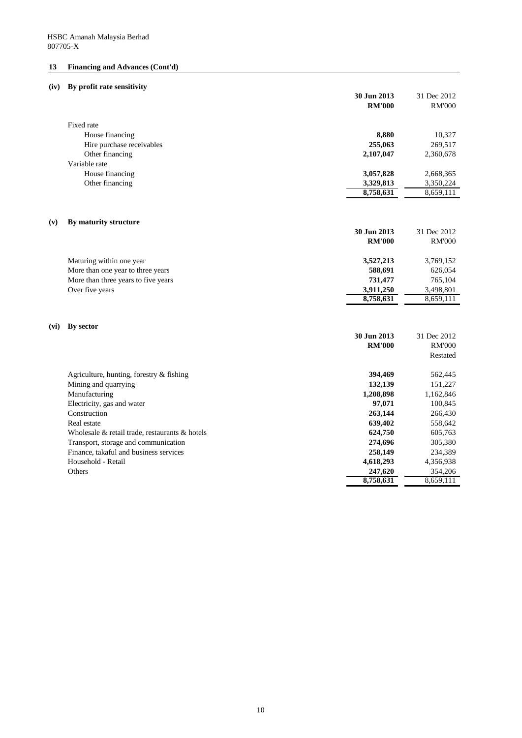# **13 Financing and Advances (Cont'd)**

# **(iv) By profit rate sensitivity**

|                    |                                                | 30 Jun 2013<br><b>RM'000</b> | 31 Dec 2012<br><b>RM'000</b> |
|--------------------|------------------------------------------------|------------------------------|------------------------------|
| Fixed rate         |                                                |                              |                              |
|                    | House financing                                | 8,880                        | 10,327                       |
|                    | Hire purchase receivables                      | 255,063                      | 269,517                      |
|                    | Other financing                                | 2,107,047                    | 2,360,678                    |
| Variable rate      |                                                |                              |                              |
|                    | House financing                                | 3,057,828                    | 2,668,365                    |
|                    | Other financing                                | 3,329,813                    | 3,350,224                    |
|                    |                                                | 8,758,631                    | 8,659,111                    |
| (v)                | By maturity structure                          |                              |                              |
|                    |                                                | 30 Jun 2013                  | 31 Dec 2012                  |
|                    |                                                | <b>RM'000</b>                | <b>RM'000</b>                |
|                    | Maturing within one year                       | 3,527,213                    | 3,769,152                    |
|                    | More than one year to three years              | 588,691                      | 626,054                      |
|                    | More than three years to five years            | 731,477                      | 765,104                      |
| Over five years    |                                                | 3,911,250                    | 3,498,801                    |
|                    |                                                | 8,758,631                    | 8,659,111                    |
|                    |                                                |                              |                              |
| By sector<br>(vi)  |                                                |                              |                              |
|                    |                                                | 30 Jun 2013                  | 31 Dec 2012                  |
|                    |                                                | <b>RM'000</b>                | <b>RM'000</b>                |
|                    |                                                |                              | Restated                     |
|                    | Agriculture, hunting, forestry $\&$ fishing    | 394,469                      | 562,445                      |
|                    | Mining and quarrying                           | 132,139                      | 151,227                      |
| Manufacturing      |                                                | 1,208,898                    | 1,162,846                    |
|                    | Electricity, gas and water                     | 97,071                       | 100,845                      |
| Construction       |                                                | 263,144                      | 266,430                      |
| Real estate        |                                                | 639,402                      | 558,642                      |
|                    | Wholesale & retail trade, restaurants & hotels | 624,750                      | 605,763                      |
|                    | Transport, storage and communication           | 274,696                      | 305,380                      |
| Household - Retail | Finance, takaful and business services         | 258,149<br>4,618,293         | 234,389<br>4,356,938         |
| Others             |                                                | 247,620                      | 354,206                      |
|                    |                                                | 8,758,631                    | 8,659,111                    |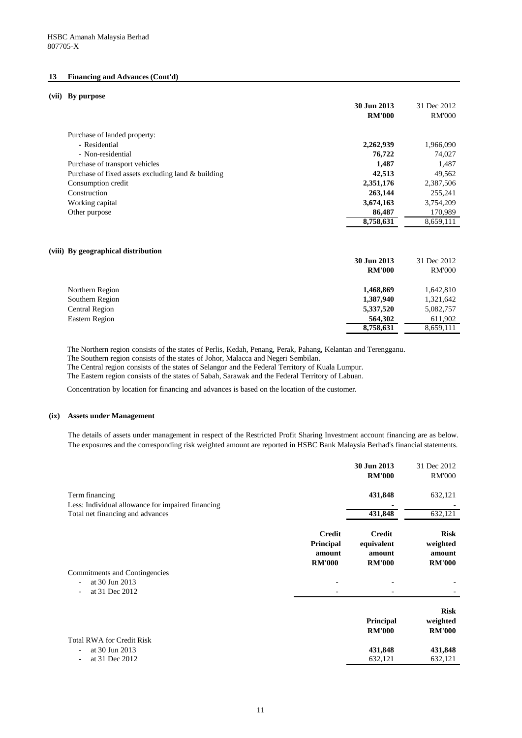### 11

### **13 Financing and Advances (Cont'd)**

### **(vii) By purpose**

|                                                    | 30 Jun 2013<br><b>RM'000</b> | 31 Dec 2012<br><b>RM'000</b> |
|----------------------------------------------------|------------------------------|------------------------------|
| Purchase of landed property:                       |                              |                              |
| - Residential                                      | 2,262,939                    | 1,966,090                    |
| - Non-residential                                  | 76,722                       | 74,027                       |
| Purchase of transport vehicles                     | 1,487                        | 1,487                        |
| Purchase of fixed assets excluding land & building | 42,513                       | 49,562                       |
| Consumption credit                                 | 2,351,176                    | 2,387,506                    |
| Construction                                       | 263,144                      | 255,241                      |
| Working capital                                    | 3,674,163                    | 3,754,209                    |
| Other purpose                                      | 86,487                       | 170,989                      |
|                                                    | 8,758,631                    | 8,659,111                    |
| (viii) By geographical distribution                |                              |                              |
|                                                    | 30 Jun 2013                  | 31 Dec 2012                  |
|                                                    | <b>RM'000</b>                | <b>RM'000</b>                |
| Northern Region                                    | 1,468,869                    | 1,642,810                    |
| Southern Region                                    | 1,387,940                    | 1,321,642                    |
| <b>Central Region</b>                              | 5,337,520                    | 5,082,757                    |
| <b>Eastern Region</b>                              | 564,302                      | 611,902                      |
|                                                    | 8,758,631                    | 8,659,111                    |

Total RWA for Credit Risk - at 30 Jun 2013  $-$  at 31 Dec 2012

### **(ix) Assets under Management**

|                                                                     |                                                              | 30 Jun 2013<br><b>RM'000</b>                           | 31 Dec 2012<br><b>RM'000</b>                       |
|---------------------------------------------------------------------|--------------------------------------------------------------|--------------------------------------------------------|----------------------------------------------------|
| Term financing<br>Less: Individual allowance for impaired financing |                                                              | 431,848                                                | 632,121                                            |
| Total net financing and advances                                    |                                                              | 431,848                                                | 632,121                                            |
|                                                                     | <b>Credit</b><br><b>Principal</b><br>amount<br><b>RM'000</b> | <b>Credit</b><br>equivalent<br>amount<br><b>RM'000</b> | <b>Risk</b><br>weighted<br>amount<br><b>RM'000</b> |

Commitments and Contingencies

- 
- at 30 Jun 2013
- $-$  at 31 Dec 2012

### **Risk**

| Principal     | weighted      |
|---------------|---------------|
| <b>RM'000</b> | <b>RM'000</b> |
|               |               |
| 431,848       | 431,848       |
| 632,121       | 632,121       |

The details of assets under management in respect of the Restricted Profit Sharing Investment account financing are as below. The exposures and the corresponding risk weighted amount are reported in HSBC Bank Malaysia Berhad's financial statements.

The Northern region consists of the states of Perlis, Kedah, Penang, Perak, Pahang, Kelantan and Terengganu. The Southern region consists of the states of Johor, Malacca and Negeri Sembilan. The Central region consists of the states of Selangor and the Federal Territory of Kuala Lumpur. The Eastern region consists of the states of Sabah, Sarawak and the Federal Territory of Labuan.

Concentration by location for financing and advances is based on the location of the customer.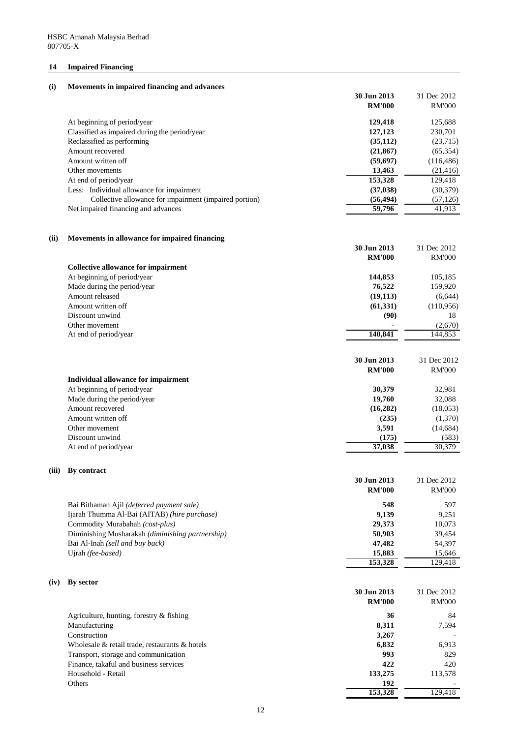# **14 Impaired Financing**

| (i)<br>Movements in impaired financing and advances |  |
|-----------------------------------------------------|--|
|-----------------------------------------------------|--|

|       |                                                        | 30 Jun 2013<br><b>RM'000</b> | 31 Dec 2012<br><b>RM'000</b> |
|-------|--------------------------------------------------------|------------------------------|------------------------------|
|       |                                                        |                              |                              |
|       | At beginning of period/year                            | 129,418                      | 125,688                      |
|       | Classified as impaired during the period/year          | 127,123                      | 230,701                      |
|       | Reclassified as performing                             | (35, 112)                    | (23,715)                     |
|       | Amount recovered                                       | (21, 867)                    | (65, 354)                    |
|       | Amount written off                                     | (59,697)                     | (116, 486)                   |
|       | Other movements                                        | 13,463                       | (21, 416)                    |
|       | At end of period/year                                  | 153,328                      | 129,418                      |
|       | Less: Individual allowance for impairment              | (37, 038)                    | (30, 379)                    |
|       | Collective allowance for impairment (impaired portion) | (56, 494)                    | (57, 126)                    |
|       | Net impaired financing and advances                    | 59,796                       | 41,913                       |
| (ii)  | Movements in allowance for impaired financing          |                              |                              |
|       |                                                        | 30 Jun 2013                  | 31 Dec 2012                  |
|       |                                                        | <b>RM'000</b>                | <b>RM'000</b>                |
|       | <b>Collective allowance for impairment</b>             |                              |                              |
|       | At beginning of period/year                            | 144,853                      | 105,185                      |
|       | Made during the period/year                            | 76,522                       | 159,920                      |
|       | Amount released                                        | (19, 113)                    | (6,644)                      |
|       | Amount written off                                     | (61, 331)                    | (110,956)                    |
|       | Discount unwind                                        | (90)                         | 18                           |
|       | Other movement                                         |                              | (2,670)                      |
|       | At end of period/year                                  | 140,841                      | 144,853                      |
|       |                                                        |                              |                              |
|       |                                                        | 30 Jun 2013                  | 31 Dec 2012                  |
|       |                                                        | <b>RM'000</b>                | <b>RM'000</b>                |
|       | <b>Individual allowance for impairment</b>             | 30,379                       |                              |
|       | At beginning of period/year                            |                              | 32,981                       |
|       | Made during the period/year                            | 19,760                       | 32,088                       |
|       | Amount recovered                                       | (16, 282)                    | (18,053)                     |
|       | Amount written off                                     | (235)                        | (1,370)                      |
|       | Other movement                                         | 3,591                        | (14, 684)                    |
|       | Discount unwind                                        | (175)                        | (583)                        |
|       | At end of period/year                                  | 37,038                       | 30,379                       |
| (iii) | By contract                                            | 30 Jun 2013                  | 31 Dec 2012                  |
|       |                                                        | <b>RM'000</b>                | <b>RM'000</b>                |
|       |                                                        |                              |                              |

| Bai Bithaman Ajil ( <i>deferred payment sale</i> ) | 548     | 597     |
|----------------------------------------------------|---------|---------|
| Ijarah Thumma Al-Bai (AITAB) (hire purchase)       | 9,139   | 9,251   |
| Commodity Murabahah (cost-plus)                    | 29,373  | 10,073  |
| Diminishing Musharakah (diminishing partnership)   | 50,903  | 39,454  |
| Bai Al-Inah (sell and buy back)                    | 47,482  | 54,397  |
| Ujrah (fee-based)                                  | 15,883  | 15,646  |
|                                                    | 153,328 | 129,418 |

# **(iv) By sector**

|                                                      | 30 Jun 2013   | 31 Dec 2012   |
|------------------------------------------------------|---------------|---------------|
|                                                      | <b>RM'000</b> | <b>RM'000</b> |
| Agriculture, hunting, forestry $\&$ fishing          | 36            | 84            |
| Manufacturing                                        | 8,311         | 7,594         |
| Construction                                         | 3,267         |               |
| Wholesale $\&$ retail trade, restaurants $\&$ hotels | 6,832         | 6,913         |
| Transport, storage and communication                 | 993           | 829           |
| Finance, takaful and business services               | 422           | 420           |
| Household - Retail                                   | 133,275       | 113,578       |
| Others                                               | 192           |               |
|                                                      | 153,328       | 129,418       |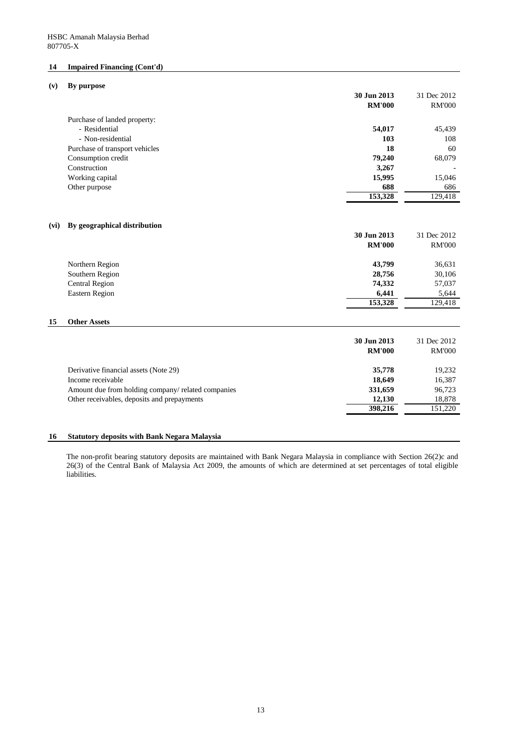# **14 Impaired Financing (Cont'd)**

| (v) |  | By purpose |
|-----|--|------------|
|-----|--|------------|

|      |                                                    | 30 Jun 2013<br><b>RM'000</b> | 31 Dec 2012<br><b>RM'000</b> |
|------|----------------------------------------------------|------------------------------|------------------------------|
|      | Purchase of landed property:                       |                              |                              |
|      | - Residential                                      | 54,017                       | 45,439                       |
|      | - Non-residential                                  | 103                          | 108                          |
|      | Purchase of transport vehicles                     | 18                           | 60                           |
|      | Consumption credit                                 | 79,240                       | 68,079                       |
|      | Construction                                       | 3,267                        |                              |
|      | Working capital                                    | 15,995                       | 15,046                       |
|      | Other purpose                                      | 688                          | 686                          |
|      |                                                    | 153,328                      | 129,418                      |
| (vi) | By geographical distribution                       |                              |                              |
|      |                                                    | 30 Jun 2013                  | 31 Dec 2012                  |
|      |                                                    | <b>RM'000</b>                | <b>RM'000</b>                |
|      | Northern Region                                    | 43,799                       | 36,631                       |
|      | Southern Region                                    | 28,756                       | 30,106                       |
|      | <b>Central Region</b>                              | 74,332                       | 57,037                       |
|      | <b>Eastern Region</b>                              | 6,441                        | 5,644                        |
|      |                                                    | 153,328                      | 129,418                      |
| 15   | <b>Other Assets</b>                                |                              |                              |
|      |                                                    | 30 Jun 2013                  | 31 Dec 2012                  |
|      |                                                    | <b>RM'000</b>                | <b>RM'000</b>                |
|      | Derivative financial assets (Note 29)              | 35,778                       | 19,232                       |
|      | Income receivable                                  | 18,649                       | 16,387                       |
|      | Amount due from holding company/ related companies | 331,659                      | 96,723                       |
|      | Other receivables, deposits and prepayments        | 12,130                       | 18,878                       |
|      |                                                    | 398,216                      | 151,220                      |
|      |                                                    |                              |                              |

# **16 Statutory deposits with Bank Negara Malaysia**

The non-profit bearing statutory deposits are maintained with Bank Negara Malaysia in compliance with Section 26(2)c and 26(3) of the Central Bank of Malaysia Act 2009, the amounts of which are determined at set percentages of total eligible liabilities.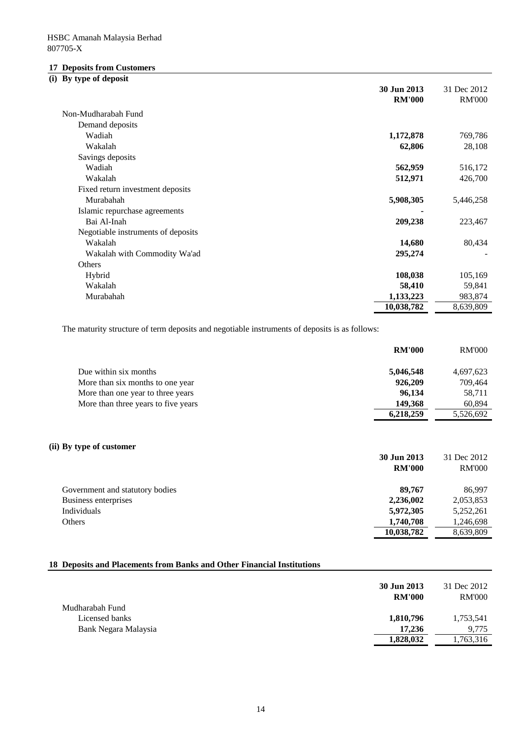# **17 Deposits from Customers**

# **(i) By type of deposit**

| 30 Jun 2013<br><b>RM'000</b>            | 31 Dec 2012<br><b>RM'000</b> |
|-----------------------------------------|------------------------------|
| Non-Mudharabah Fund                     |                              |
| Demand deposits                         |                              |
| Wadiah<br>1,172,878                     | 769,786                      |
| Wakalah<br>62,806                       | 28,108                       |
| Savings deposits                        |                              |
| Wadiah<br>562,959                       | 516,172                      |
| Wakalah<br>512,971                      | 426,700                      |
| Fixed return investment deposits        |                              |
| Murabahah<br>5,908,305                  | 5,446,258                    |
| Islamic repurchase agreements           |                              |
| Bai Al-Inah<br>209,238                  | 223,467                      |
| Negotiable instruments of deposits      |                              |
| Wakalah<br>14,680                       | 80,434                       |
| 295,274<br>Wakalah with Commodity Wa'ad |                              |
| Others                                  |                              |
| 108,038<br>Hybrid                       | 105,169                      |
| 58,410<br>Wakalah                       | 59,841                       |
| Murabahah<br>1,133,223                  | 983,874                      |
| 10,038,782                              | 8,639,809                    |

The maturity structure of term deposits and negotiable instruments of deposits is as follows:

|                                     | <b>RM'000</b> | <b>RM'000</b> |
|-------------------------------------|---------------|---------------|
| Due within six months               | 5,046,548     | 4,697,623     |
| More than six months to one year    | 926,209       | 709,464       |
| More than one year to three years   | 96,134        | 58,711        |
| More than three years to five years | 149,368       | 60,894        |
|                                     | 6,218,259     | 5,526,692     |
|                                     |               |               |

# **(ii) By type of customer**

|                                 | 30 Jun 2013   | 31 Dec 2012   |
|---------------------------------|---------------|---------------|
|                                 | <b>RM'000</b> | <b>RM'000</b> |
| Government and statutory bodies | 89,767        | 86,997        |
| Business enterprises            | 2,236,002     | 2,053,853     |
| Individuals                     | 5,972,305     | 5,252,261     |
| Others                          | 1,740,708     | 1,246,698     |
|                                 | 10,038,782    | 8,639,809     |

# **18 Deposits and Placements from Banks and Other Financial Institutions**

|                      | 30 Jun 2013<br><b>RM'000</b> | 31 Dec 2012<br><b>RM'000</b> |
|----------------------|------------------------------|------------------------------|
| Mudharabah Fund      |                              |                              |
| Licensed banks       | 1,810,796                    | 1,753,541                    |
| Bank Negara Malaysia | 17,236                       | 9,775                        |
|                      | 1,828,032                    | 1,763,316                    |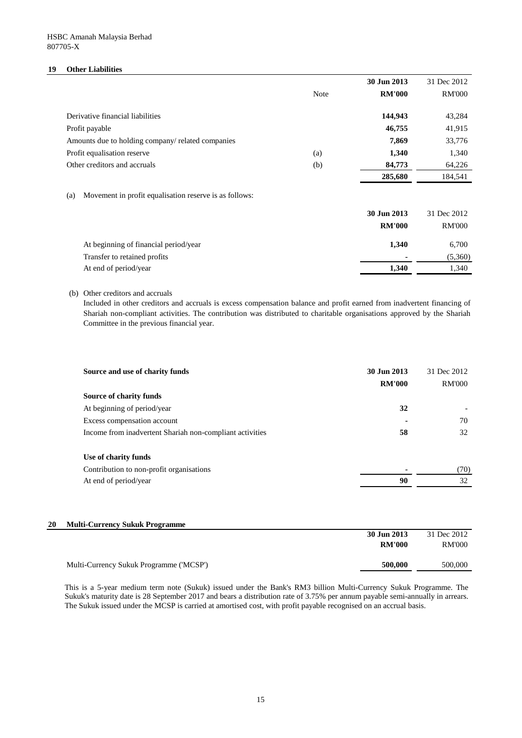# **19 Other Liabilities**

|                                                   |             | 30 Jun 2013   | 31 Dec 2012   |
|---------------------------------------------------|-------------|---------------|---------------|
|                                                   | <b>Note</b> | <b>RM'000</b> | <b>RM'000</b> |
|                                                   |             |               |               |
| Derivative financial liabilities                  |             | 144,943       | 43,284        |
| Profit payable                                    |             | 46,755        | 41,915        |
| Amounts due to holding company/ related companies |             | 7,869         | 33,776        |
| Profit equalisation reserve                       | (a)         | 1,340         | 1,340         |
| Other creditors and accruals                      | (b)         | 84,773        | 64,226        |
|                                                   |             | 285,680       | 184,541       |

# (a) Movement in profit equalisation reserve is as follows:

|                                       | 30 Jun 2013    | 31 Dec 2012   |
|---------------------------------------|----------------|---------------|
|                                       | <b>RM'000</b>  | <b>RM'000</b> |
| At beginning of financial period/year | 1,340          | 6,700         |
| Transfer to retained profits          | $\blacksquare$ | (5,360)       |
| At end of period/year                 | 1,340          | 1,340         |

# (b) Other creditors and accruals

Included in other creditors and accruals is excess compensation balance and profit earned from inadvertent financing of Shariah non-compliant activities. The contribution was distributed to charitable organisations approved by the Shariah Committee in the previous financial year.

| Source and use of charity funds                          | 30 Jun 2013<br><b>RM'000</b> | 31 Dec 2012<br><b>RM'000</b> |
|----------------------------------------------------------|------------------------------|------------------------------|
| <b>Source of charity funds</b>                           |                              |                              |
| At beginning of period/year                              | 32                           |                              |
| Excess compensation account                              |                              | 70                           |
| Income from inadvertent Shariah non-compliant activities | 58                           | 32                           |
| Use of charity funds                                     |                              |                              |
| Contribution to non-profit organisations                 | $\blacksquare$               | (70)                         |
| At end of period/year                                    | 90                           | 32                           |

# **20 Multi-Currency Sukuk Programme**

|                                         | 30 Jun 2013   | 31 Dec 2012   |
|-----------------------------------------|---------------|---------------|
|                                         | <b>RM'000</b> | <b>RM'000</b> |
|                                         |               |               |
| Multi-Currency Sukuk Programme ('MCSP') | 500,000       | 500,000       |
|                                         |               |               |

This is a 5-year medium term note (Sukuk) issued under the Bank's RM3 billion Multi-Currency Sukuk Programme. The Sukuk's maturity date is 28 September 2017 and bears a distribution rate of 3.75% per annum payable semi-annually in arrears. The Sukuk issued under the MCSP is carried at amortised cost, with profit payable recognised on an accrual basis.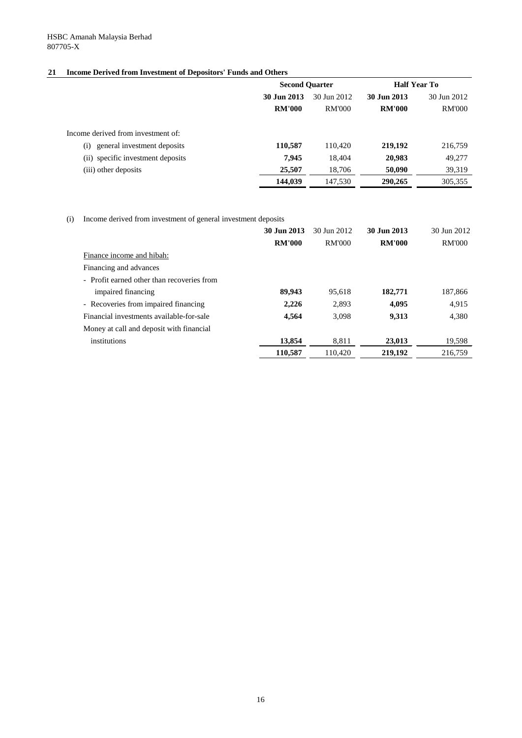# **21 Income Derived from Investment of Depositors' Funds and Others**

|                                    | <b>Second Quarter</b> |               | <b>Half Year To</b> |               |
|------------------------------------|-----------------------|---------------|---------------------|---------------|
|                                    | 30 Jun 2013           | 30 Jun 2012   | 30 Jun 2013         | 30 Jun 2012   |
|                                    | <b>RM'000</b>         | <b>RM'000</b> | <b>RM'000</b>       | <b>RM'000</b> |
| Income derived from investment of: |                       |               |                     |               |
| general investment deposits<br>(i) | 110,587               | 110,420       | 219,192             | 216,759       |
| (ii) specific investment deposits  | 7,945                 | 18,404        | 20,983              | 49,277        |
| (iii) other deposits               | 25,507                | 18,706        | 50,090              | 39,319        |
|                                    | 144,039               | 147,530       | 290,265             | 305,355       |

(i) Income derived from investment of general investment deposits

|                                            | 30 Jun 2013   | 30 Jun 2012   | 30 Jun 2013   | 30 Jun 2012   |
|--------------------------------------------|---------------|---------------|---------------|---------------|
|                                            | <b>RM'000</b> | <b>RM'000</b> | <b>RM'000</b> | <b>RM'000</b> |
| Finance income and hibah:                  |               |               |               |               |
| Financing and advances                     |               |               |               |               |
| - Profit earned other than recoveries from |               |               |               |               |
| impaired financing                         | 89,943        | 95,618        | 182,771       | 187,866       |
| - Recoveries from impaired financing       | 2,226         | 2,893         | 4,095         | 4,915         |
| Financial investments available-for-sale   | 4,564         | 3,098         | 9,313         | 4,380         |
| Money at call and deposit with financial   |               |               |               |               |
| institutions                               | 13,854        | 8,811         | 23,013        | 19,598        |
|                                            | 110,587       | 110,420       | 219,192       | 216,759       |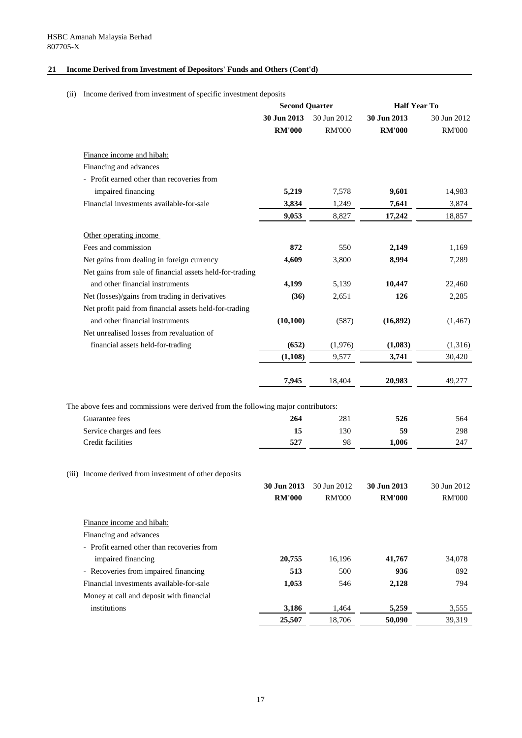# **21 Income Derived from Investment of Depositors' Funds and Others (Cont'd)**

(ii) Income derived from investment of specific investment deposits

|                                                                                    | <b>Second Quarter</b> |               | <b>Half Year To</b> |               |
|------------------------------------------------------------------------------------|-----------------------|---------------|---------------------|---------------|
|                                                                                    | 30 Jun 2013           | 30 Jun 2012   | 30 Jun 2013         | 30 Jun 2012   |
|                                                                                    | <b>RM'000</b>         | <b>RM'000</b> | <b>RM'000</b>       | <b>RM'000</b> |
| Finance income and hibah:                                                          |                       |               |                     |               |
| Financing and advances                                                             |                       |               |                     |               |
| - Profit earned other than recoveries from                                         |                       |               |                     |               |
| impaired financing                                                                 | 5,219                 | 7,578         | 9,601               | 14,983        |
| Financial investments available-for-sale                                           | 3,834                 | 1,249         | 7,641               | 3,874         |
|                                                                                    | 9,053                 | 8,827         | 17,242              | 18,857        |
| Other operating income                                                             |                       |               |                     |               |
| Fees and commission                                                                | 872                   | 550           | 2,149               | 1,169         |
| Net gains from dealing in foreign currency                                         | 4,609                 | 3,800         | 8,994               | 7,289         |
| Net gains from sale of financial assets held-for-trading                           |                       |               |                     |               |
| and other financial instruments                                                    | 4,199                 | 5,139         | 10,447              | 22,460        |
| Net (losses)/gains from trading in derivatives                                     | (36)                  | 2,651         | 126                 | 2,285         |
| Net profit paid from financial assets held-for-trading                             |                       |               |                     |               |
| and other financial instruments                                                    | (10,100)              | (587)         | (16,892)            | (1, 467)      |
| Net unrealised losses from revaluation of                                          |                       |               |                     |               |
| financial assets held-for-trading                                                  | (652)                 | (1,976)       | (1,083)             | (1,316)       |
|                                                                                    | (1,108)               | 9,577         | 3,741               | 30,420        |
|                                                                                    | 7,945                 | 18,404        | 20,983              | 49,277        |
| The above fees and commissions were derived from the following major contributors: |                       |               |                     |               |
| Guarantee fees                                                                     | 264                   | 281           | 526                 | 564           |
| Service charges and fees                                                           | 15                    | 130           | 59                  | 298           |
| Credit facilities                                                                  | 527                   | 98            | 1,006               | 247           |
|                                                                                    |                       |               |                     |               |
| (iii) Income derived from investment of other deposits                             |                       |               |                     |               |
|                                                                                    | 30 Jun 2013           | 30 Jun 2012   | 30 Jun 2013         | 30 Jun 2012   |
|                                                                                    | <b>RM'000</b>         | <b>RM'000</b> | <b>RM'000</b>       | <b>RM'000</b> |
| Finance income and hibah:                                                          |                       |               |                     |               |
| Financing and advances                                                             |                       |               |                     |               |
| - Profit earned other than recoveries from                                         |                       |               |                     |               |
| impaired financing                                                                 | 20,755                | 16,196        | 41,767              | 34,078        |
| - Recoveries from impaired financing                                               | 513                   | 500           | 936                 | 892           |
| Financial investments available-for-sale                                           | 1,053                 | 546           | 2,128               | 794           |
| Money at call and deposit with financial                                           |                       |               |                     |               |
| institutions                                                                       | 3,186                 | 1,464         | 5,259               | 3,555         |
|                                                                                    | 25,507                | 18,706        | 50,090              | 39,319        |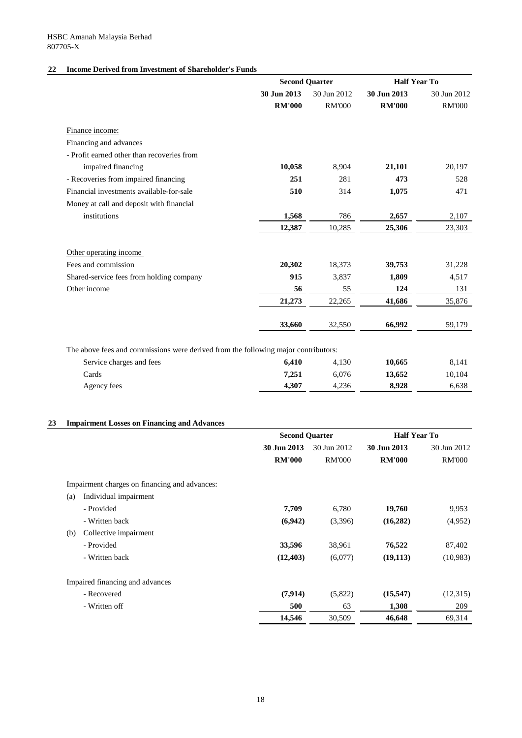# **22 Income Derived from Investment of Shareholder's Funds**

|                                                                                    |                  | <b>Second Quarter</b> |                                | <b>Half Year To</b> |
|------------------------------------------------------------------------------------|------------------|-----------------------|--------------------------------|---------------------|
|                                                                                    | 30 Jun 2013      | 30 Jun 2012           | 30 Jun 2013                    | 30 Jun 2012         |
|                                                                                    | <b>RM'000</b>    | <b>RM'000</b>         | <b>RM'000</b>                  | <b>RM'000</b>       |
| Finance income:                                                                    |                  |                       |                                |                     |
| Financing and advances                                                             |                  |                       |                                |                     |
| - Profit earned other than recoveries from                                         |                  |                       |                                |                     |
| impaired financing                                                                 | 10,058           | 8,904                 | 21,101                         | 20,197              |
| - Recoveries from impaired financing                                               | 251              | 281                   | 473                            | 528                 |
| Financial investments available-for-sale                                           | 510              | 314                   | 1,075                          | 471                 |
| Money at call and deposit with financial                                           |                  |                       |                                |                     |
| institutions                                                                       | 1,568            | 786                   | 2,657                          | 2,107               |
|                                                                                    | 12,387           | 10,285                | 25,306                         | 23,303              |
| Other operating income                                                             |                  |                       |                                |                     |
| Fees and commission                                                                | 20,302           | 18,373                | 39,753                         | 31,228              |
| Shared-service fees from holding company                                           | 915              | 3,837                 | 1,809                          | 4,517               |
| Other income                                                                       | 56               | 55                    | 124                            | 131                 |
|                                                                                    | 21,273           | 22,265                | 41,686                         | 35,876              |
|                                                                                    | 33,660           | 32,550                | 66,992                         | 59,179              |
|                                                                                    |                  |                       |                                |                     |
| The above fees and commissions were derived from the following major contributors: |                  |                       |                                |                     |
| Service charges and fees<br>$\sim$ $\sim$                                          | 6,410<br>- ^ - 4 | 4,130<br>2072         | 10,665<br>$\sim$ $\sim$ $\sim$ | 8,141<br>10.101     |

| Service charges and fees | 6,410 | 4,130 | 10,665 | 8,141  |
|--------------------------|-------|-------|--------|--------|
| Cards                    | 7,251 | 6,076 | 13,652 | 10,104 |
| Agency fees              | 4,307 | 4,236 | 8,928  | 6,638  |

# **23 Impairment Losses on Financing and Advances**

|                                               | <b>Second Quarter</b> |               |               |               | <b>Half Year To</b> |  |
|-----------------------------------------------|-----------------------|---------------|---------------|---------------|---------------------|--|
|                                               | 30 Jun 2013           | 30 Jun 2012   | 30 Jun 2013   | 30 Jun 2012   |                     |  |
|                                               | <b>RM'000</b>         | <b>RM'000</b> | <b>RM'000</b> | <b>RM'000</b> |                     |  |
| Impairment charges on financing and advances: |                       |               |               |               |                     |  |
| Individual impairment<br>(a)                  |                       |               |               |               |                     |  |
| - Provided                                    | 7,709                 | 6,780         | 19,760        | 9,953         |                     |  |
| - Written back                                | (6,942)               | (3,396)       | (16, 282)     | (4,952)       |                     |  |
| Collective impairment<br>(b)                  |                       |               |               |               |                     |  |
| - Provided                                    | 33,596                | 38,961        | 76,522        | 87,402        |                     |  |
| - Written back                                | (12, 403)             | (6,077)       | (19, 113)     | (10,983)      |                     |  |
| Impaired financing and advances               |                       |               |               |               |                     |  |
| - Recovered                                   | (7, 914)              | (5,822)       | (15, 547)     | (12,315)      |                     |  |
| - Written off                                 | 500                   | 63            | 1,308         | 209           |                     |  |
|                                               | 14,546                | 30,509        | 46,648        | 69,314        |                     |  |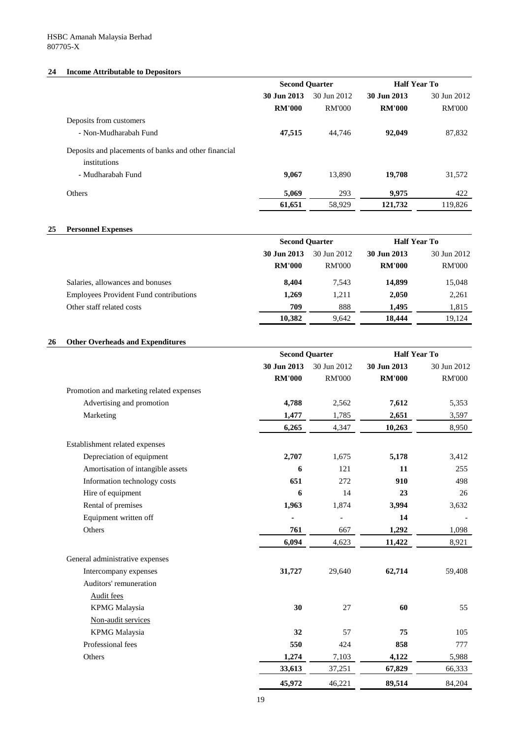# **24 Income Attributable to Depositors**

|                                                      | <b>Second Quarter</b> |               | <b>Half Year To</b> |               |  |
|------------------------------------------------------|-----------------------|---------------|---------------------|---------------|--|
|                                                      | 30 Jun 2013           | 30 Jun 2012   | 30 Jun 2013         | 30 Jun 2012   |  |
|                                                      | <b>RM'000</b>         | <b>RM'000</b> | <b>RM'000</b>       | <b>RM'000</b> |  |
| Deposits from customers                              |                       |               |                     |               |  |
| - Non-Mudharabah Fund                                | 47,515                | 44,746        | 92,049              | 87,832        |  |
| Deposits and placements of banks and other financial |                       |               |                     |               |  |
| institutions                                         |                       |               |                     |               |  |
| - Mudharabah Fund                                    | 9,067                 | 13,890        | 19,708              | 31,572        |  |
| Others                                               | 5,069                 | 293           | 9,975               | 422           |  |
|                                                      | 61,651                | 58,929        | 121,732             | 119,826       |  |

### **25 Personnel Expenses**

|                                               | <b>Second Quarter</b> |               | <b>Half Year To</b> |               |
|-----------------------------------------------|-----------------------|---------------|---------------------|---------------|
|                                               | 30 Jun 2013           | 30 Jun 2012   | 30 Jun 2013         | 30 Jun 2012   |
|                                               | <b>RM'000</b>         | <b>RM'000</b> | <b>RM'000</b>       | <b>RM'000</b> |
| Salaries, allowances and bonuses              | 8,404                 | 7,543         | 14,899              | 15,048        |
| <b>Employees Provident Fund contributions</b> | 1,269                 | 1,211         | 2,050               | 2,261         |
| Other staff related costs                     | 709                   | 888           | 1,495               | 1,815         |
|                                               | 10,382                | 9,642         | 18,444              | 19,124        |
|                                               |                       |               |                     |               |

### **26 Other Overheads and Expenditures**

|                                          | <b>Second Quarter</b> |               | <b>Half Year To</b> |               |
|------------------------------------------|-----------------------|---------------|---------------------|---------------|
|                                          | 30 Jun 2013           | 30 Jun 2012   | 30 Jun 2013         | 30 Jun 2012   |
|                                          | <b>RM'000</b>         | <b>RM'000</b> | <b>RM'000</b>       | <b>RM'000</b> |
| Promotion and marketing related expenses |                       |               |                     |               |
| Advertising and promotion                | 4,788                 | 2,562         | 7,612               | 5,353         |
| Marketing                                | 1,477                 | 1,785         | 2,651               | 3,597         |
|                                          | 6,265                 | 4,347         | 10,263              | 8,950         |
| Establishment related expenses           |                       |               |                     |               |
| Depreciation of equipment                | 2,707                 | 1,675         | 5,178               | 3,412         |
| Amortisation of intangible assets        | 6                     | 121           | 11                  | 255           |
| Information technology costs             | 651                   | 272           | 910                 | 498           |
| Hire of equipment                        | 6                     | 14            | 23                  | 26            |
| Rental of premises                       | 1,963                 | 1,874         | 3,994               | 3,632         |
| Equipment written off                    |                       |               | 14                  |               |
| Others                                   | 761                   | 667           | 1,292               | 1,098         |
|                                          | 6,094                 | 4,623         | 11,422              | 8,921         |
| General administrative expenses          |                       |               |                     |               |
| Intercompany expenses                    | 31,727                | 29,640        | 62,714              | 59,408        |
| Auditors' remuneration                   |                       |               |                     |               |
| <b>Audit fees</b>                        |                       |               |                     |               |
| <b>KPMG</b> Malaysia                     | 30                    | 27            | 60                  | 55            |
| Non-audit services                       |                       |               |                     |               |
| <b>KPMG</b> Malaysia                     | 32                    | 57            | 75                  | 105           |
| Professional fees                        | 550                   | 424           | 858                 | 777           |
| Others                                   | 1,274                 | 7,103         | 4,122               | 5,988         |
|                                          | 33,613                | 37,251        | 67,829              | 66,333        |
|                                          | 45,972                | 46,221        | 89,514              | 84,204        |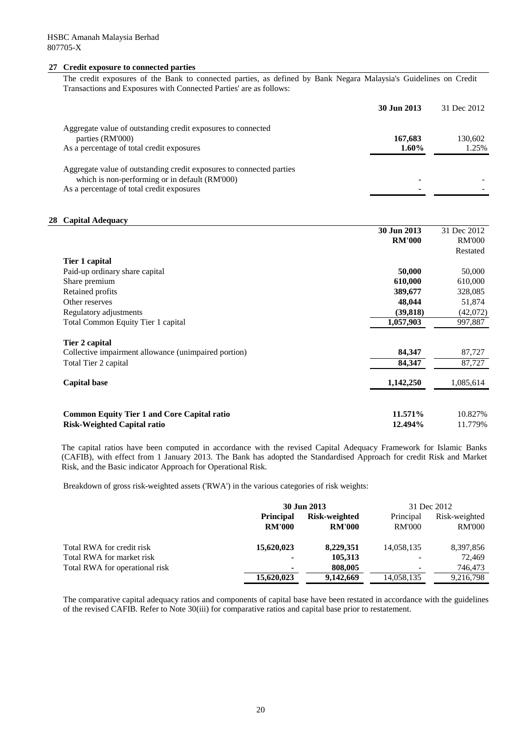### **27 Credit exposure to connected parties**

The credit exposures of the Bank to connected parties, as defined by Bank Negara Malaysia's Guidelines on Credit Transactions and Exposures with Connected Parties' are as follows:

|                                                                      | 30 Jun 2013 | 31 Dec 2012 |
|----------------------------------------------------------------------|-------------|-------------|
| Aggregate value of outstanding credit exposures to connected         |             |             |
| parties (RM'000)                                                     | 167,683     | 130,602     |
| As a percentage of total credit exposures                            | $1.60\%$    | 1.25%       |
| Aggregate value of outstanding credit exposures to connected parties |             |             |
| which is non-performing or in default (RM'000)                       |             |             |
| As a percentage of total credit exposures                            |             |             |

### **28 Capital Adequacy**

|                                                      | 30 Jun 2013   | 31 Dec 2012   |
|------------------------------------------------------|---------------|---------------|
|                                                      | <b>RM'000</b> | <b>RM'000</b> |
|                                                      |               | Restated      |
| Tier 1 capital                                       |               |               |
| Paid-up ordinary share capital                       | 50,000        | 50,000        |
| Share premium                                        | 610,000       | 610,000       |
| Retained profits                                     | 389,677       | 328,085       |
| Other reserves                                       | 48,044        | 51,874        |
| Regulatory adjustments                               | (39, 818)     | (42,072)      |
| <b>Total Common Equity Tier 1 capital</b>            | 1,057,903     | 997,887       |
| Tier 2 capital                                       |               |               |
| Collective impairment allowance (unimpaired portion) | 84,347        | 87,727        |
| Total Tier 2 capital                                 | 84,347        | 87,727        |
| <b>Capital base</b>                                  | 1,142,250     | 1,085,614     |
| <b>Common Equity Tier 1 and Core Capital ratio</b>   | 11.571%       | 10.827%       |
| <b>Risk-Weighted Capital ratio</b>                   | 12.494%       | 11.779%       |

The capital ratios have been computed in accordance with the revised Capital Adequacy Framework for Islamic Banks (CAFIB), with effect from 1 January 2013. The Bank has adopted the Standardised Approach for credit Risk and Market Risk, and the Basic indicator Approach for Operational Risk.

Breakdown of gross risk-weighted assets ('RWA') in the various categories of risk weights:

|                                | 30 Jun 2013      |               | 31 Dec 2012   |               |
|--------------------------------|------------------|---------------|---------------|---------------|
|                                | <b>Principal</b> | Risk-weighted | Principal     | Risk-weighted |
|                                | <b>RM'000</b>    | <b>RM'000</b> | <b>RM'000</b> | <b>RM'000</b> |
| Total RWA for credit risk      | 15,620,023       | 8,229,351     | 14,058,135    | 8,397,856     |
| Total RWA for market risk      | ٠                | 105,313       |               | 72,469        |
| Total RWA for operational risk | $\blacksquare$   | 808,005       |               | 746,473       |
|                                | 15,620,023       | 9,142,669     | 14,058,135    | 9,216,798     |

The comparative capital adequacy ratios and components of capital base have been restated in accordance with the guidelines of the revised CAFIB. Refer to Note 30(iii) for comparative ratios and capital base prior to restatement.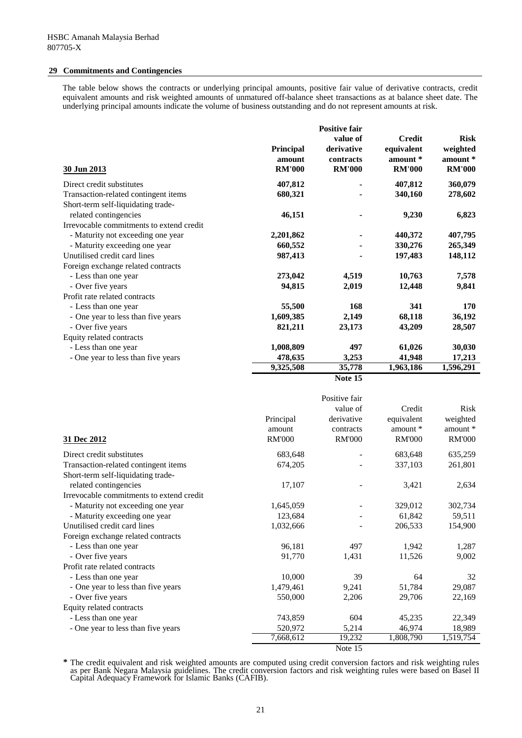### **29 Commitments and Contingencies**

The table below shows the contracts or underlying principal amounts, positive fair value of derivative contracts, credit equivalent amounts and risk weighted amounts of unmatured off-balance sheet transactions as at balance sheet date. The underlying principal amounts indicate the volume of business outstanding and do not represent amounts at risk.

|                                          |                  | <b>Positive fair</b> |               |               |
|------------------------------------------|------------------|----------------------|---------------|---------------|
|                                          |                  | value of             | <b>Credit</b> | <b>Risk</b>   |
|                                          | <b>Principal</b> | derivative           | equivalent    | weighted      |
|                                          | amount           | contracts            | amount *      | amount *      |
| 30 Jun 2013                              | <b>RM'000</b>    | <b>RM'000</b>        | <b>RM'000</b> | <b>RM'000</b> |
| Direct credit substitutes                | 407,812          |                      | 407,812       | 360,079       |
| Transaction-related contingent items     | 680,321          |                      | 340,160       | 278,602       |
| Short-term self-liquidating trade-       |                  |                      |               |               |
| related contingencies                    | 46,151           |                      | 9,230         | 6,823         |
| Irrevocable commitments to extend credit |                  |                      |               |               |
| - Maturity not exceeding one year        | 2,201,862        |                      | 440,372       | 407,795       |
| - Maturity exceeding one year            | 660,552          |                      | 330,276       | 265,349       |
| Unutilised credit card lines             | 987,413          |                      | 197,483       | 148,112       |
| Foreign exchange related contracts       |                  |                      |               |               |
| - Less than one year                     | 273,042          | 4,519                | 10,763        | 7,578         |
| - Over five years                        | 94,815           | 2,019                | 12,448        | 9,841         |
| Profit rate related contracts            |                  |                      |               |               |
| - Less than one year                     | 55,500           | 168                  | 341           | 170           |
| - One year to less than five years       | 1,609,385        | 2,149                | 68,118        | 36,192        |
| - Over five years                        | 821,211          | 23,173               | 43,209        | 28,507        |
| Equity related contracts                 |                  |                      |               |               |
| - Less than one year                     | 1,008,809        | 497                  | 61,026        | 30,030        |
| - One year to less than five years       | 478,635          | 3,253                | 41,948        | 17,213        |
|                                          | 9,325,508        | 35,778               | 1,963,186     | 1,596,291     |

**Note 15**

| 31 Dec 2012                              | Principal<br>amount<br><b>RM'000</b> | Positive fair<br>value of<br>derivative<br>contracts<br><b>RM'000</b> | Credit<br>equivalent<br>amount *<br><b>RM'000</b> | <b>Risk</b><br>weighted<br>amount *<br><b>RM'000</b> |
|------------------------------------------|--------------------------------------|-----------------------------------------------------------------------|---------------------------------------------------|------------------------------------------------------|
| Direct credit substitutes                | 683,648                              |                                                                       | 683,648                                           | 635,259                                              |
| Transaction-related contingent items     | 674,205                              |                                                                       | 337,103                                           | 261,801                                              |
| Short-term self-liquidating trade-       |                                      |                                                                       |                                                   |                                                      |
| related contingencies                    | 17,107                               |                                                                       | 3,421                                             | 2,634                                                |
| Irrevocable commitments to extend credit |                                      |                                                                       |                                                   |                                                      |
| - Maturity not exceeding one year        | 1,645,059                            |                                                                       | 329,012                                           | 302,734                                              |
| - Maturity exceeding one year            | 123,684                              |                                                                       | 61,842                                            | 59,511                                               |
| Unutilised credit card lines             | 1,032,666                            |                                                                       | 206,533                                           | 154,900                                              |
| Foreign exchange related contracts       |                                      |                                                                       |                                                   |                                                      |
| - Less than one year                     | 96,181                               | 497                                                                   | 1,942                                             | 1,287                                                |
| - Over five years                        | 91,770                               | 1,431                                                                 | 11,526                                            | 9,002                                                |
| Profit rate related contracts            |                                      |                                                                       |                                                   |                                                      |
| - Less than one year                     | 10,000                               | 39                                                                    | 64                                                | 32                                                   |
| - One year to less than five years       | 1,479,461                            | 9,241                                                                 | 51,784                                            | 29,087                                               |
| - Over five years                        | 550,000                              | 2,206                                                                 | 29,706                                            | 22,169                                               |
| Equity related contracts                 |                                      |                                                                       |                                                   |                                                      |
| - Less than one year                     | 743,859                              | 604                                                                   | 45,235                                            | 22,349                                               |
| - One year to less than five years       | 520,972                              | 5,214                                                                 | 46,974                                            | 18,989                                               |
|                                          | 7,668,612                            | 19,232                                                                | 1,808,790                                         | 1,519,754                                            |
|                                          |                                      | Note 15                                                               |                                                   |                                                      |

**\*** The credit equivalent and risk weighted amounts are computed using credit conversion factors and risk weighting rules as per Bank Negara Malaysia guidelines. The credit conversion factors and risk weighting rules were based on Basel II Capital Adequacy Framework for Islamic Banks (CAFIB).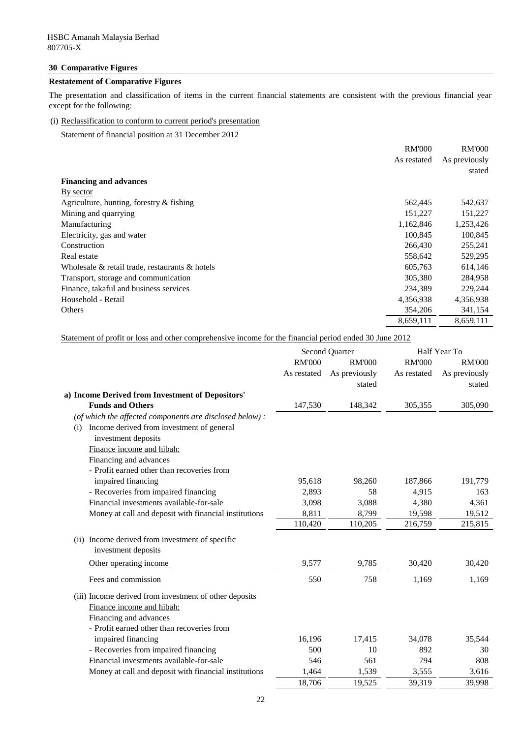## **30 Comparative Figures**

# **Restatement of Comparative Figures**

The presentation and classification of items in the current financial statements are consistent with the previous financial year except for the following:

# (i) Reclassification to conform to current period's presentation

Statement of financial position at 31 December 2012

|                                                      | <b>RM'000</b> | <b>RM'000</b> |
|------------------------------------------------------|---------------|---------------|
|                                                      | As restated   | As previously |
|                                                      |               | stated        |
| <b>Financing and advances</b>                        |               |               |
| <u>By sector</u>                                     |               |               |
| Agriculture, hunting, forestry $&$ fishing           | 562,445       | 542,637       |
| Mining and quarrying                                 | 151,227       | 151,227       |
| Manufacturing                                        | 1,162,846     | 1,253,426     |
| Electricity, gas and water                           | 100,845       | 100,845       |
| Construction                                         | 266,430       | 255,241       |
| Real estate                                          | 558,642       | 529,295       |
| Wholesale $\&$ retail trade, restaurants $\&$ hotels | 605,763       | 614,146       |
| Transport, storage and communication                 | 305,380       | 284,958       |
| Finance, takaful and business services               | 234,389       | 229,244       |
| Household - Retail                                   | 4,356,938     | 4,356,938     |
| Others                                               | 354,206       | 341,154       |
|                                                      | 8,659,111     | 8,659,111     |

Statement of profit or loss and other comprehensive income for the financial period ended 30 June 2012

|                                                                                                               | <b>Second Quarter</b>        |                                          | Half Year To                 |                                          |
|---------------------------------------------------------------------------------------------------------------|------------------------------|------------------------------------------|------------------------------|------------------------------------------|
|                                                                                                               | <b>RM'000</b><br>As restated | <b>RM'000</b><br>As previously<br>stated | <b>RM'000</b><br>As restated | <b>RM'000</b><br>As previously<br>stated |
| a) Income Derived from Investment of Depositors'                                                              |                              |                                          |                              |                                          |
| <b>Funds and Others</b>                                                                                       | 147,530                      | 148,342                                  | 305,355                      | 305,090                                  |
| (of which the affected components are disclosed below) :<br>Income derived from investment of general<br>(i)  |                              |                                          |                              |                                          |
| investment deposits                                                                                           |                              |                                          |                              |                                          |
| Finance income and hibah:                                                                                     |                              |                                          |                              |                                          |
| Financing and advances                                                                                        |                              |                                          |                              |                                          |
| - Profit earned other than recoveries from                                                                    |                              |                                          |                              |                                          |
| impaired financing                                                                                            | 95,618                       | 98,260                                   | 187,866                      | 191,779                                  |
| - Recoveries from impaired financing                                                                          | 2,893                        | 58                                       | 4,915                        | 163                                      |
| Financial investments available-for-sale                                                                      | 3,098                        | 3,088                                    | 4,380                        | 4,361                                    |
| Money at call and deposit with financial institutions                                                         | 8,811                        | 8,799                                    | 19,598                       | 19,512                                   |
|                                                                                                               | 110,420                      | 110,205                                  | 216,759                      | 215,815                                  |
| (ii) Income derived from investment of specific<br>investment deposits                                        |                              |                                          |                              |                                          |
| Other operating income                                                                                        | 9,577                        | 9,785                                    | 30,420                       | 30,420                                   |
| Fees and commission                                                                                           | 550                          | 758                                      | 1,169                        | 1,169                                    |
| (iii) Income derived from investment of other deposits<br>Finance income and hibah:<br>Financing and advances |                              |                                          |                              |                                          |
| - Profit earned other than recoveries from                                                                    |                              |                                          |                              |                                          |
| impaired financing                                                                                            | 16,196                       | 17,415                                   | 34,078                       | 35,544                                   |
| - Recoveries from impaired financing                                                                          | 500                          | 10                                       | 892                          | 30                                       |
| Financial investments available-for-sale                                                                      | 546                          | 561                                      | 794                          | 808                                      |
| Money at call and deposit with financial institutions                                                         | 1,464                        | 1,539                                    | 3,555                        | 3,616                                    |
|                                                                                                               | 18,706                       | 19,525                                   | 39,319                       | 39,998                                   |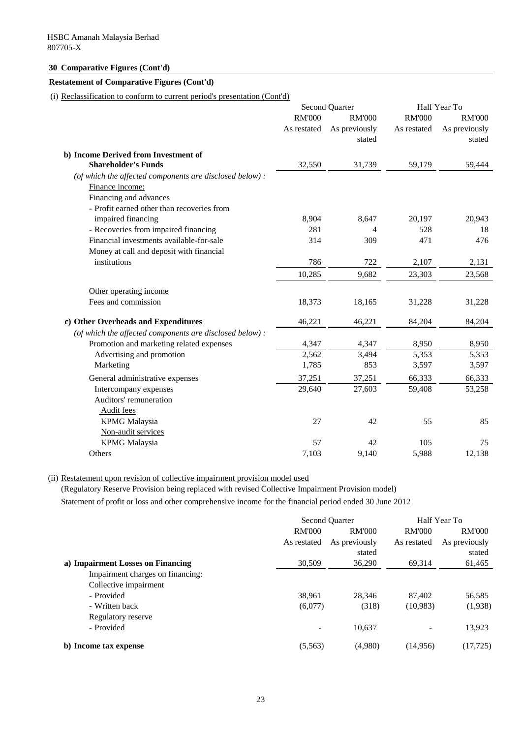# **30 Comparative Figures (Cont'd)**

### **Restatement of Comparative Figures (Cont'd)**

(i) Reclassification to conform to current period's presentation (Cont'd)

|                                                                    | <b>Second Quarter</b>        |                                          | Half Year To                 |                                          |
|--------------------------------------------------------------------|------------------------------|------------------------------------------|------------------------------|------------------------------------------|
|                                                                    | <b>RM'000</b><br>As restated | <b>RM'000</b><br>As previously<br>stated | <b>RM'000</b><br>As restated | <b>RM'000</b><br>As previously<br>stated |
| b) Income Derived from Investment of<br><b>Shareholder's Funds</b> | 32,550                       | 31,739                                   | 59,179                       | 59,444                                   |
| (of which the affected components are disclosed below):            |                              |                                          |                              |                                          |
| Finance income:                                                    |                              |                                          |                              |                                          |
| Financing and advances                                             |                              |                                          |                              |                                          |
| - Profit earned other than recoveries from                         |                              |                                          |                              |                                          |
| impaired financing                                                 | 8,904                        | 8,647                                    | 20,197                       | 20,943                                   |
| - Recoveries from impaired financing                               | 281                          | $\overline{4}$                           | 528                          | 18                                       |
| Financial investments available-for-sale                           | 314                          | 309                                      | 471                          | 476                                      |
| Money at call and deposit with financial                           |                              |                                          |                              |                                          |
| institutions                                                       | 786                          | 722                                      | 2,107                        | 2,131                                    |
|                                                                    | 10,285                       | 9,682                                    | 23,303                       | 23,568                                   |
| Other operating income                                             |                              |                                          |                              |                                          |
| Fees and commission                                                | 18,373                       | 18,165                                   | 31,228                       | 31,228                                   |
| c) Other Overheads and Expenditures                                | 46,221                       | 46,221                                   | 84,204                       | 84,204                                   |
| (of which the affected components are disclosed below):            |                              |                                          |                              |                                          |
| Promotion and marketing related expenses                           | 4,347                        | 4,347                                    | 8,950                        | 8,950                                    |
| Advertising and promotion                                          | 2,562                        | 3,494                                    | 5,353                        | 5,353                                    |
| Marketing                                                          | 1,785                        | 853                                      | 3,597                        | 3,597                                    |
| General administrative expenses                                    | 37,251                       | 37,251                                   | 66,333                       | 66,333                                   |
| Intercompany expenses                                              | 29,640                       | 27,603                                   | 59,408                       | 53,258                                   |
| Auditors' remuneration                                             |                              |                                          |                              |                                          |
| Audit fees                                                         |                              |                                          |                              |                                          |
| <b>KPMG</b> Malaysia<br>Non-audit services                         | 27                           | 42                                       | 55                           | 85                                       |
| <b>KPMG</b> Malaysia                                               | 57                           | 42                                       | 105                          | 75                                       |
| Others                                                             | 7,103                        | 9,140                                    | 5,988                        | 12,138                                   |
|                                                                    |                              |                                          |                              |                                          |

(ii) Restatement upon revision of collective impairment provision model used

(Regulatory Reserve Provision being replaced with revised Collective Impairment Provision model)

Statement of profit or loss and other comprehensive income for the financial period ended 30 June 2012

|                                   | <b>Second Quarter</b> |               | Half Year To             |               |
|-----------------------------------|-----------------------|---------------|--------------------------|---------------|
|                                   | <b>RM'000</b>         | <b>RM'000</b> | <b>RM'000</b>            | <b>RM'000</b> |
|                                   | As restated           | As previously | As restated              | As previously |
|                                   |                       | stated        |                          | stated        |
| a) Impairment Losses on Financing | 30,509                | 36,290        | 69,314                   | 61,465        |
| Impairment charges on financing:  |                       |               |                          |               |
| Collective impairment             |                       |               |                          |               |
| - Provided                        | 38,961                | 28,346        | 87,402                   | 56,585        |
| - Written back                    | (6,077)               | (318)         | (10,983)                 | (1,938)       |
| Regulatory reserve                |                       |               |                          |               |
| - Provided                        |                       | 10,637        | $\overline{\phantom{0}}$ | 13,923        |
| b) Income tax expense             | (5,563)               | (4,980)       | (14,956)                 | (17, 725)     |